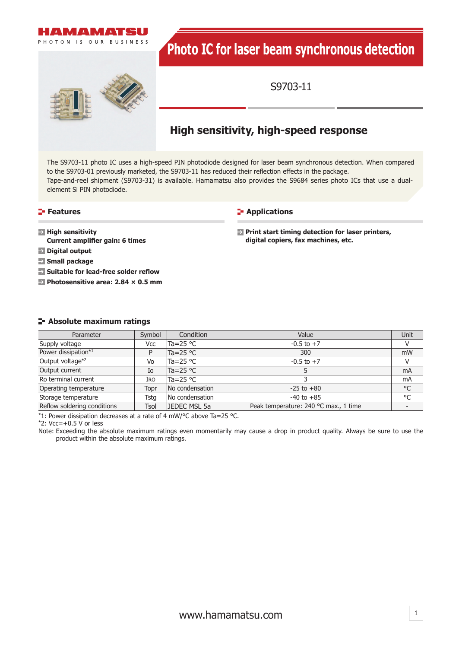

# **Photo IC for laser beam synchronous detection**



S9703-11

# **High sensitivity, high-speed response**

The S9703-11 photo IC uses a high-speed PIN photodiode designed for laser beam synchronous detection. When compared to the S9703-01 previously marketed, the S9703-11 has reduced their reflection effects in the package. Tape-and-reel shipment (S9703-31) is available. Hamamatsu also provides the S9684 series photo ICs that use a dualelement Si PIN photodiode.

#### **Features**

#### **E-** Applications

**High sensitivity Current amplifier gain: 6 times** 

**Digital output**

**Small package**

**Suitable for lead-free solder reflow** 

**Photosensitive area: 2.84 × 0.5 mm**

**Print start timing detection for laser printers, digital copiers, fax machines, etc.**

#### **Absolute maximum ratings**

| Parameter                   | Symbol      | Condition          | Value                                 | Unit |
|-----------------------------|-------------|--------------------|---------------------------------------|------|
| Supply voltage              | Vcc         | Ta=25 $^{\circ}$ C | $-0.5$ to $+7$                        | v    |
| Power dissipation*1         | P           | Ta=25 $\degree$ C  | 300                                   | mW   |
| Output voltage*2            | Vo          | Ta=25 $\degree$ C  | $-0.5$ to $+7$                        | V    |
| Output current              | Io          | Ta=25 °C           |                                       | mA   |
| Ro terminal current         | Iro         | Ta=25 $\degree$ C  |                                       | mA   |
| Operating temperature       | Topr        | No condensation    | $-25$ to $+80$                        | °C   |
| Storage temperature         | Tsta        | No condensation    | $-40$ to $+85$                        | °C   |
| Reflow soldering conditions | <b>Tsol</b> | JEDEC MSL 5a       | Peak temperature: 240 °C max., 1 time |      |

\*1: Power dissipation decreases at a rate of 4 mW/°C above Ta=25 °C.

 $*2$ : Vcc=+0.5 V or less

Note: Exceeding the absolute maximum ratings even momentarily may cause a drop in product quality. Always be sure to use the product within the absolute maximum ratings.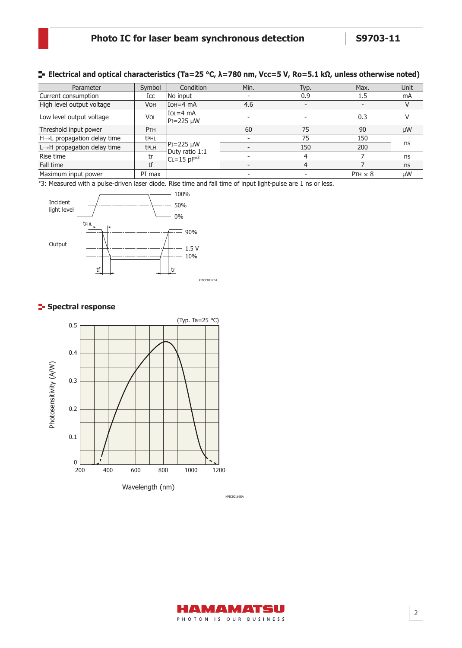#### **Electrical and optical characteristics (Ta=25 °C, λ=780 nm, Vcc=5 V, Ro=5.1 kΩ, unless otherwise noted)**

| Parameter                                | Symbol      | Condition                                                       | Min. | Typ. | Max.           | <b>Unit</b> |
|------------------------------------------|-------------|-----------------------------------------------------------------|------|------|----------------|-------------|
| Current consumption                      | Icc         | No input                                                        |      | 0.9  | 1.5            | mA          |
| High level output voltage                | <b>VOH</b>  | $IOH=4 mA$                                                      | 4.6  |      |                |             |
| Low level output voltage                 | <b>VOL</b>  | $IOL=4$ mA<br>$PI = 225 \mu W$                                  |      |      | 0.3            |             |
| Threshold input power                    | PTH         |                                                                 | 60   | 75   | 90             | μW          |
| H→L propagation delay time               | <b>tPHL</b> | $ PI = 225 \mu W$<br>Duty ratio 1:1<br>$CL=15$ pF <sup>*3</sup> |      | 75   | 150            | ns          |
| $L \rightarrow H$ propagation delay time | <b>tPLH</b> |                                                                 |      | 150  | 200            |             |
| Rise time                                | tr          |                                                                 |      | 4    |                | ns          |
| Fall time                                | tf          |                                                                 |      | 4    |                | ns          |
| Maximum input power                      | PI max      |                                                                 |      |      | $PTH \times 8$ | μW          |

\*3: Measured with a pulse-driven laser diode. Rise time and fall time of input light-pulse are 1 ns or less.



## **Spectral response**



KPICB0166EA

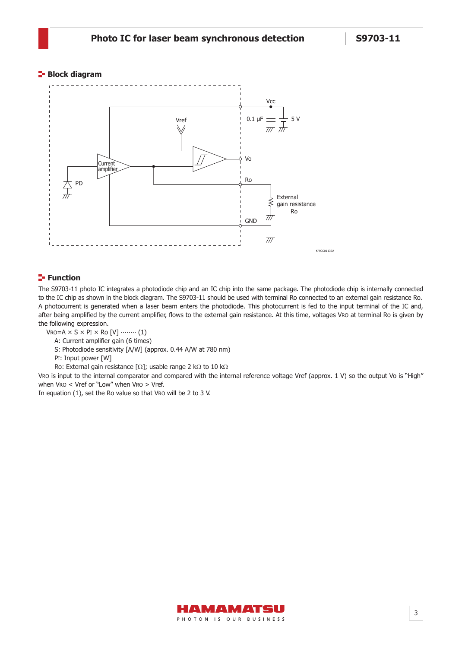#### **Block diagram**



#### **Function**

The S9703-11 photo IC integrates a photodiode chip and an IC chip into the same package. The photodiode chip is internally connected to the IC chip as shown in the block diagram. The S9703-11 should be used with terminal Ro connected to an external gain resistance Ro. A photocurrent is generated when a laser beam enters the photodiode. This photocurrent is fed to the input terminal of the IC and, after being amplified by the current amplifier, flows to the external gain resistance. At this time, voltages VRO at terminal Ro is given by the following expression.

- $VRO=A \times S \times PI \times RO [V] \cdots (1)$ 
	- A: Current amplifier gain (6 times)
	- S: Photodiode sensitivity [A/W] (approx. 0.44 A/W at 780 nm)
	- PI: Input power [W]
	- Ro: External gain resistance  $[\Omega]$ ; usable range 2 k $\Omega$  to 10 k $\Omega$

VRO is input to the internal comparator and compared with the internal reference voltage Vref (approx. 1 V) so the output Vo is "High" when VRO < Vref or "Low" when VRO > Vref.

In equation (1), set the Ro value so that VRO will be 2 to 3 V.

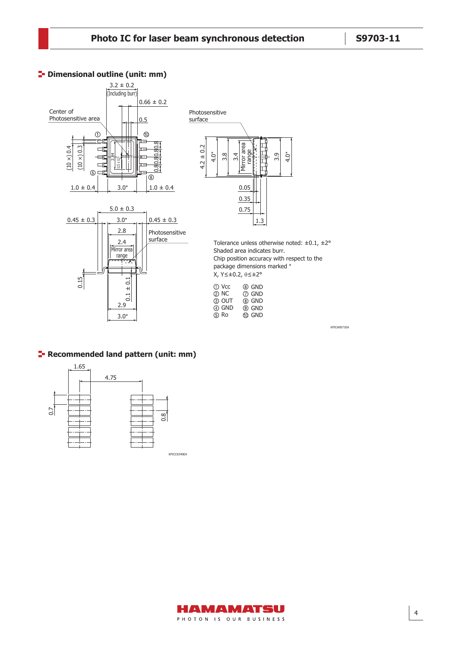KPICA0071EA



#### **P** Dimensional outline (unit: mm)

# **F** Recommended land pattern (unit: mm)